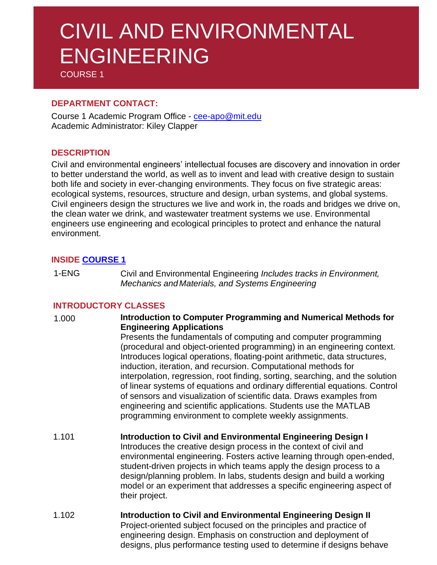# CIVIL AND ENVIRONMENTAL ENGINEERING

COURSE 1

# **DEPARTMENT CONTACT:**

Course 1 Academic Program Office - [cee-apo@mit.edu](mailto:cee-apo@mit.edu) Academic Administrator: Kiley Clapper

# **DESCRIPTION**

Civil and environmental engineers' intellectual focuses are discovery and innovation in order to better understand the world, as well as to invent and lead with creative design to sustain both life and society in ever-changing environments. They focus on five strategic areas: ecological systems, resources, structure and design, urban systems, and global systems. Civil engineers design the structures we live and work in, the roads and bridges we drive on, the clean water we drink, and wastewater treatment systems we use. Environmental engineers use engineering and ecological principles to protect and enhance the natural environment.

# **INSIDE [COURSE](https://cee.mit.edu/education/undergraduate/) 1**

1-ENG Civil and Environmental Engineering *Includes tracks in Environment, Mechanics and Materials, and Systems Engineering*

# **INTRODUCTORY CLASSES**

- 1.000 **Introduction to Computer Programming and Numerical Methods for Engineering Applications** Presents the fundamentals of computing and computer programming (procedural and object-oriented programming) in an engineering context. Introduces logical operations, floating-point arithmetic, data structures, induction, iteration, and recursion. Computational methods for interpolation, regression, root finding, sorting, searching, and the solution of linear systems of equations and ordinary differential equations. Control of sensors and visualization of scientific data. Draws examples from engineering and scientific applications. Students use the MATLAB programming environment to complete weekly assignments.
- 1.101 **Introduction to Civil and Environmental Engineering Design I** Introduces the creative design process in the context of civil and environmental engineering. Fosters active learning through open-ended, student-driven projects in which teams apply the design process to a design/planning problem. In labs, students design and build a working model or an experiment that addresses a specific engineering aspect of their project.
- 1.102 **Introduction to Civil and Environmental Engineering Design II** Project-oriented subject focused on the principles and practice of engineering design. Emphasis on construction and deployment of designs, plus performance testing used to determine if designs behave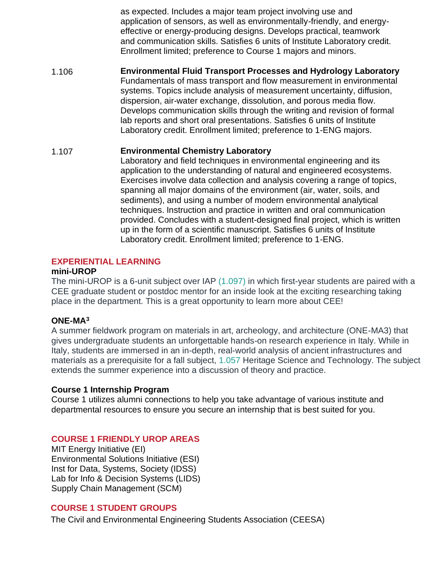as expected. Includes a major team project involving use and application of sensors, as well as environmentally-friendly, and energyeffective or energy-producing designs. Develops practical, teamwork and communication skills. Satisfies 6 units of Institute Laboratory credit. Enrollment limited; preference to Course 1 majors and minors.

1.106 **Environmental Fluid Transport Processes and Hydrology Laboratory** Fundamentals of mass transport and flow measurement in environmental systems. Topics include analysis of measurement uncertainty, diffusion, dispersion, air-water exchange, dissolution, and porous media flow. Develops communication skills through the writing and revision of formal lab reports and short oral presentations. Satisfies 6 units of Institute Laboratory credit. Enrollment limited; preference to 1-ENG majors.

#### 1.107 **Environmental Chemistry Laboratory**

Laboratory and field techniques in environmental engineering and its application to the understanding of natural and engineered ecosystems. Exercises involve data collection and analysis covering a range of topics, spanning all major domains of the environment (air, water, soils, and sediments), and using a number of modern environmental analytical techniques. Instruction and practice in written and oral communication provided. Concludes with a student-designed final project, which is written up in the form of a scientific manuscript. Satisfies 6 units of Institute Laboratory credit. Enrollment limited; preference to 1-ENG.

# **EXPERIENTIAL LEARNING**

#### **mini-UROP**

The mini-UROP is a 6-unit subject over IAP [\(1.097\)](http://student.mit.edu/catalog/search.cgi?search=1.097&style=verbatim) in which first-year students are paired with a CEE graduate student or postdoc mentor for an inside look at the exciting researching taking place in the department. This is a great opportunity to learn more about CEE!

# **ONE-MA<sup>3</sup>**

A summer fieldwork program on materials in art, archeology, and architecture (ONE-MA3) that gives undergraduate students an unforgettable hands-on research experience in Italy. While in Italy, students are immersed in an in-depth, real-world analysis of ancient infrastructures and materials as a prerequisite for a fall subject, [1.057](http://student.mit.edu/catalog/search.cgi?search=1.057&style=verbatim) Heritage Science and Technology. The subject extends the summer experience into a discussion of theory and practice.

# **Course 1 Internship Program**

Course 1 utilizes alumni connections to help you take advantage of various institute and departmental resources to ensure you secure an internship that is best suited for you.

# **COURSE 1 FRIENDLY UROP AREAS**

MIT Energy Initiative (EI) Environmental Solutions Initiative (ESI) Inst for Data, Systems, Society (IDSS) Lab for Info & Decision Systems (LIDS) Supply Chain Management (SCM)

# **COURSE 1 STUDENT GROUPS**

The Civil and Environmental Engineering Students Association (CEESA)